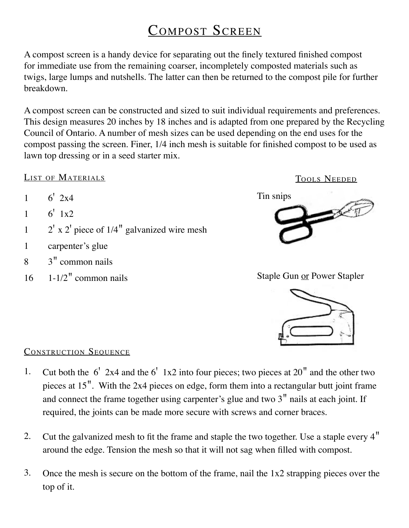## COMPOST SCREEN

A compost screen is a handy device for separating out the finely textured finished compost for immediate use from the remaining coarser, incompletely composted materials such as twigs, large lumps and nutshells. The latter can then be returned to the compost pile for further breakdown.

A compost screen can be constructed and sized to suit individual requirements and preferences. This design measures 20 inches by 18 inches and is adapted from one prepared by the Recycling Council of Ontario. A number of mesh sizes can be used depending on the end uses for the compost passing the screen. Finer, 1/4 inch mesh is suitable for finished compost to be used as lawn top dressing or in a seed starter mix.

## LIST OF MATERIALS

- $1 \t 6'$   $2x4$
- $1 \t 6' 1x2$
- 1  $2'$  x 2' piece of 1/4" galvanized wire mesh
- 1 carpenter's glue
- 8 3" common nails
- $16 \quad 1 1/2$ " common nails



Staple Gun or Power Stapler



## CONSTRUCTION SEQUENCE

- Cut both the  $6'$  2x4 and the  $6'$  1x2 into four pieces; two pieces at 20" and the other two pieces at 15". With the 2x4 pieces on edge, form them into a rectangular butt joint frame and connect the frame together using carpenter's glue and two 3" nails at each joint. If required, the joints can be made more secure with screws and corner braces. 1.
- Cut the galvanized mesh to fit the frame and staple the two together. Use a staple every 4" around the edge. Tension the mesh so that it will not sag when filled with compost. 2.
- Once the mesh is secure on the bottom of the frame, nail the 1x2 strapping pieces over the top of it. 3.